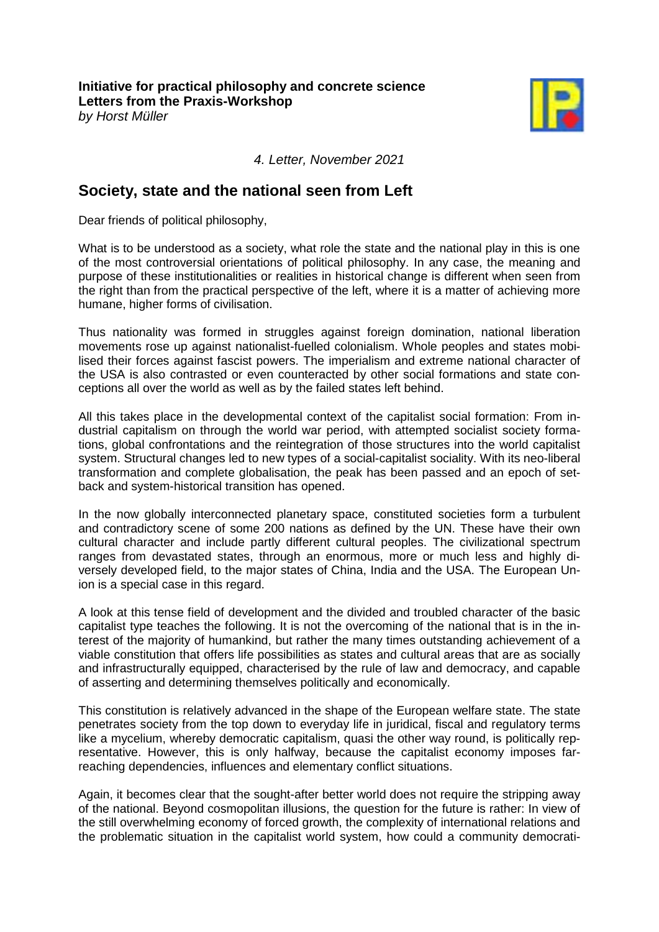**Initiative for practical philosophy and concrete science Letters from the Praxis-Workshop** *by Horst Müller*



*4. Letter, November 2021*

## **Society, state and the national seen from Left**

Dear friends of political philosophy,

What is to be understood as a society, what role the state and the national play in this is one of the most controversial orientations of political philosophy. In any case, the meaning and purpose of these institutionalities or realities in historical change is different when seen from the right than from the practical perspective of the left, where it is a matter of achieving more humane, higher forms of civilisation.

Thus nationality was formed in struggles against foreign domination, national liberation movements rose up against nationalist-fuelled colonialism. Whole peoples and states mobilised their forces against fascist powers. The imperialism and extreme national character of the USA is also contrasted or even counteracted by other social formations and state conceptions all over the world as well as by the failed states left behind.

All this takes place in the developmental context of the capitalist social formation: From industrial capitalism on through the world war period, with attempted socialist society formations, global confrontations and the reintegration of those structures into the world capitalist system. Structural changes led to new types of a social-capitalist sociality. With its neo-liberal transformation and complete globalisation, the peak has been passed and an epoch of setback and system-historical transition has opened.

In the now globally interconnected planetary space, constituted societies form a turbulent and contradictory scene of some 200 nations as defined by the UN. These have their own cultural character and include partly different cultural peoples. The civilizational spectrum ranges from devastated states, through an enormous, more or much less and highly diversely developed field, to the major states of China, India and the USA. The European Union is a special case in this regard.

A look at this tense field of development and the divided and troubled character of the basic capitalist type teaches the following. It is not the overcoming of the national that is in the interest of the majority of humankind, but rather the many times outstanding achievement of a viable constitution that offers life possibilities as states and cultural areas that are as socially and infrastructurally equipped, characterised by the rule of law and democracy, and capable of asserting and determining themselves politically and economically.

This constitution is relatively advanced in the shape of the European welfare state. The state penetrates society from the top down to everyday life in juridical, fiscal and regulatory terms like a mycelium, whereby democratic capitalism, quasi the other way round, is politically representative. However, this is only halfway, because the capitalist economy imposes farreaching dependencies, influences and elementary conflict situations.

Again, it becomes clear that the sought-after better world does not require the stripping away of the national. Beyond cosmopolitan illusions, the question for the future is rather: In view of the still overwhelming economy of forced growth, the complexity of international relations and the problematic situation in the capitalist world system, how could a community democrati